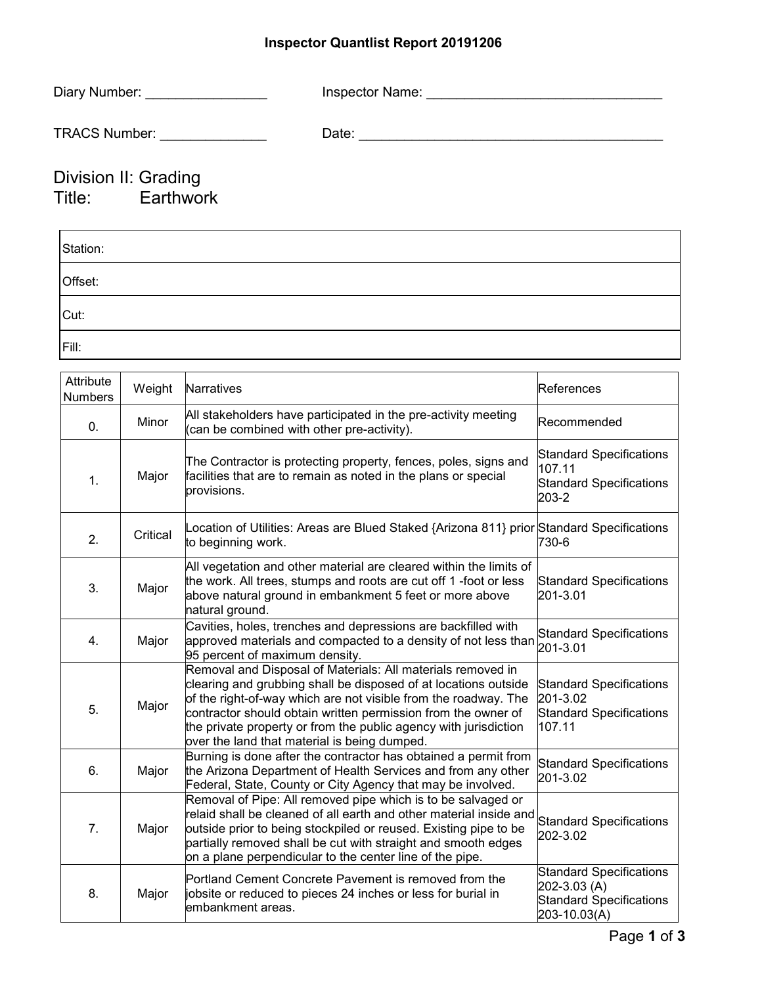## **Inspector Quantlist Report 20191206**

| Diary Number:          | Inspector Name: |
|------------------------|-----------------|
| <b>TRACS Number:</b>   | Date:           |
| $\sum_{i=1}^{n} a_{i}$ |                 |

## Division II: Grading Title: Earthwork

| Station: |  |
|----------|--|
| Offset:  |  |
| Cut:     |  |
| Fill:    |  |

| Attribute<br><b>Numbers</b> | Weight   | Narratives                                                                                                                                                                                                                                                                                                                                                                             | References                                                                                       |
|-----------------------------|----------|----------------------------------------------------------------------------------------------------------------------------------------------------------------------------------------------------------------------------------------------------------------------------------------------------------------------------------------------------------------------------------------|--------------------------------------------------------------------------------------------------|
| $\mathbf{0}$ .              | Minor    | All stakeholders have participated in the pre-activity meeting<br>(can be combined with other pre-activity).                                                                                                                                                                                                                                                                           | lRecommended                                                                                     |
| 1.                          | Major    | The Contractor is protecting property, fences, poles, signs and<br>facilities that are to remain as noted in the plans or special<br>provisions.                                                                                                                                                                                                                                       | <b>Standard Specifications</b><br>107.11<br><b>Standard Specifications</b><br>203-2              |
| 2.                          | Critical | Location of Utilities: Areas are Blued Staked {Arizona 811} prior Standard Specifications<br>to beginning work.                                                                                                                                                                                                                                                                        | 730-6                                                                                            |
| 3.                          | Major    | All vegetation and other material are cleared within the limits of<br>the work. All trees, stumps and roots are cut off 1-foot or less<br>above natural ground in embankment 5 feet or more above<br>natural ground.                                                                                                                                                                   | <b>Standard Specifications</b><br>201-3.01                                                       |
| 4.                          | Major    | Cavities, holes, trenches and depressions are backfilled with<br>approved materials and compacted to a density of not less than<br>95 percent of maximum density.                                                                                                                                                                                                                      | <b>Standard Specifications</b><br>201-3.01                                                       |
| 5.                          | Major    | Removal and Disposal of Materials: All materials removed in<br>clearing and grubbing shall be disposed of at locations outside<br>of the right-of-way which are not visible from the roadway. The<br>contractor should obtain written permission from the owner of<br>the private property or from the public agency with jurisdiction<br>over the land that material is being dumped. | <b>Standard Specifications</b><br>201-3.02<br><b>Standard Specifications</b><br>107.11           |
| 6.                          | Major    | Burning is done after the contractor has obtained a permit from<br>the Arizona Department of Health Services and from any other<br>Federal, State, County or City Agency that may be involved.                                                                                                                                                                                         | <b>Standard Specifications</b><br>201-3.02                                                       |
| 7.                          | Major    | Removal of Pipe: All removed pipe which is to be salvaged or<br>relaid shall be cleaned of all earth and other material inside and<br>outside prior to being stockpiled or reused. Existing pipe to be<br>partially removed shall be cut with straight and smooth edges<br>on a plane perpendicular to the center line of the pipe.                                                    | <b>Standard Specifications</b><br>202-3.02                                                       |
| 8.                          | Major    | Portland Cement Concrete Pavement is removed from the<br>jobsite or reduced to pieces 24 inches or less for burial in<br>embankment areas.                                                                                                                                                                                                                                             | <b>Standard Specifications</b><br>202-3.03 (A)<br><b>Standard Specifications</b><br>203-10.03(A) |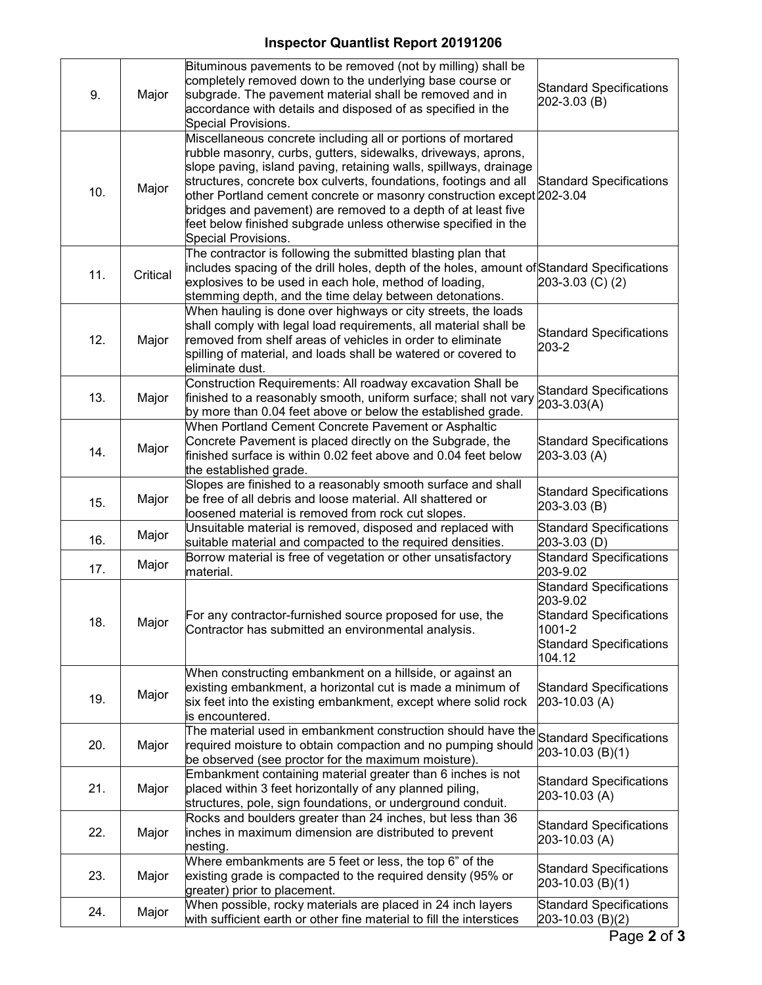## **Inspector Quantlist Report 20191206**

| 9.  | Major    | Bituminous pavements to be removed (not by milling) shall be<br>completely removed down to the underlying base course or<br>subgrade. The pavement material shall be removed and in<br>accordance with details and disposed of as specified in the<br>Special Provisions.                                                                                                                                                                                                                                  | <b>Standard Specifications</b><br>202-3.03 (B)                                                                                     |
|-----|----------|------------------------------------------------------------------------------------------------------------------------------------------------------------------------------------------------------------------------------------------------------------------------------------------------------------------------------------------------------------------------------------------------------------------------------------------------------------------------------------------------------------|------------------------------------------------------------------------------------------------------------------------------------|
| 10. | Major    | Miscellaneous concrete including all or portions of mortared<br>rubble masonry, curbs, gutters, sidewalks, driveways, aprons,<br>slope paving, island paving, retaining walls, spillways, drainage<br>structures, concrete box culverts, foundations, footings and all<br>other Portland cement concrete or masonry construction except 202-3.04<br>bridges and pavement) are removed to a depth of at least five<br>feet below finished subgrade unless otherwise specified in the<br>Special Provisions. | <b>Standard Specifications</b>                                                                                                     |
| 11. | Critical | The contractor is following the submitted blasting plan that<br>includes spacing of the drill holes, depth of the holes, amount of Standard Specifications<br>explosives to be used in each hole, method of loading,<br>stemming depth, and the time delay between detonations.                                                                                                                                                                                                                            | 203-3.03 (C) (2)                                                                                                                   |
| 12. | Major    | When hauling is done over highways or city streets, the loads<br>shall comply with legal load requirements, all material shall be<br>removed from shelf areas of vehicles in order to eliminate<br>spilling of material, and loads shall be watered or covered to<br>eliminate dust.                                                                                                                                                                                                                       | <b>Standard Specifications</b><br>203-2                                                                                            |
| 13. | Major    | Construction Requirements: All roadway excavation Shall be<br>finished to a reasonably smooth, uniform surface; shall not vary<br>by more than 0.04 feet above or below the established grade.                                                                                                                                                                                                                                                                                                             | <b>Standard Specifications</b><br>203-3.03(A)                                                                                      |
| 14. | Major    | When Portland Cement Concrete Pavement or Asphaltic<br>Concrete Pavement is placed directly on the Subgrade, the<br>finished surface is within 0.02 feet above and 0.04 feet below<br>the established grade.                                                                                                                                                                                                                                                                                               | <b>Standard Specifications</b><br>203-3.03 (A)                                                                                     |
| 15. | Major    | Slopes are finished to a reasonably smooth surface and shall<br>be free of all debris and loose material. All shattered or<br>loosened material is removed from rock cut slopes.                                                                                                                                                                                                                                                                                                                           | <b>Standard Specifications</b><br>203-3.03 (B)                                                                                     |
| 16. | Major    | Unsuitable material is removed, disposed and replaced with<br>suitable material and compacted to the required densities.                                                                                                                                                                                                                                                                                                                                                                                   | <b>Standard Specifications</b><br>203-3.03 (D)                                                                                     |
| 17. | Major    | Borrow material is free of vegetation or other unsatisfactory<br>material.                                                                                                                                                                                                                                                                                                                                                                                                                                 | <b>Standard Specifications</b><br>203-9.02                                                                                         |
| 18. | Major    | For any contractor-furnished source proposed for use, the<br>Contractor has submitted an environmental analysis.                                                                                                                                                                                                                                                                                                                                                                                           | <b>Standard Specifications</b><br>203-9.02<br><b>Standard Specifications</b><br>1001-2<br><b>Standard Specifications</b><br>104.12 |
| 19. | Major    | When constructing embankment on a hillside, or against an<br>existing embankment, a horizontal cut is made a minimum of<br>six feet into the existing embankment, except where solid rock<br>is encountered.                                                                                                                                                                                                                                                                                               | <b>Standard Specifications</b><br>203-10.03 (A)                                                                                    |
| 20. | Major    | The material used in embankment construction should have the Standard Specifications<br>required moisture to obtain compaction and no pumping should<br>be observed (see proctor for the maximum moisture).                                                                                                                                                                                                                                                                                                | 203-10.03 (B)(1)                                                                                                                   |
| 21. | Major    | Embankment containing material greater than 6 inches is not<br>placed within 3 feet horizontally of any planned piling,<br>structures, pole, sign foundations, or underground conduit.                                                                                                                                                                                                                                                                                                                     | <b>Standard Specifications</b><br>203-10.03 (A)                                                                                    |
| 22. | Major    | Rocks and boulders greater than 24 inches, but less than 36<br>inches in maximum dimension are distributed to prevent<br>nesting.                                                                                                                                                                                                                                                                                                                                                                          | <b>Standard Specifications</b><br>203-10.03 (A)                                                                                    |
| 23. | Major    | Where embankments are 5 feet or less, the top 6" of the<br>existing grade is compacted to the required density (95% or<br>greater) prior to placement.                                                                                                                                                                                                                                                                                                                                                     | <b>Standard Specifications</b><br>203-10.03 (B)(1)                                                                                 |
| 24. | Major    | When possible, rocky materials are placed in 24 inch layers<br>with sufficient earth or other fine material to fill the interstices                                                                                                                                                                                                                                                                                                                                                                        | <b>Standard Specifications</b><br>$203 - 10.03$ (B)(2)                                                                             |